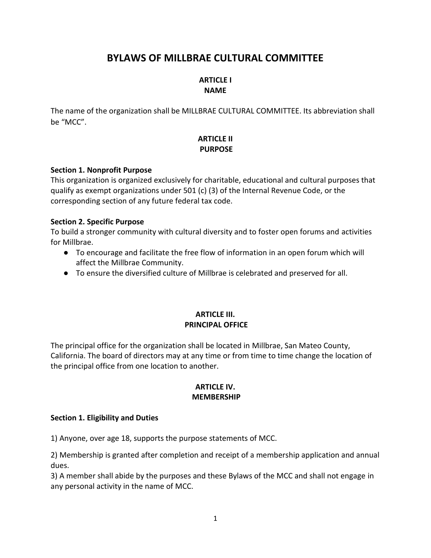# **BYLAWS OF MILLBRAE CULTURAL COMMITTEE**

# **ARTICLE I NAME**

The name of the organization shall be MILLBRAE CULTURAL COMMITTEE. Its abbreviation shall be "MCC".

# **ARTICLE II PURPOSE**

### **Section 1. Nonprofit Purpose**

This organization is organized exclusively for charitable, educational and cultural purposes that qualify as exempt organizations under 501 (c) (3) of the Internal Revenue Code, or the corresponding section of any future federal tax code.

### **Section 2. Specific Purpose**

To build a stronger community with cultural diversity and to foster open forums and activities for Millbrae.

- To encourage and facilitate the free flow of information in an open forum which will affect the Millbrae Community.
- To ensure the diversified culture of Millbrae is celebrated and preserved for all.

# **ARTICLE III. PRINCIPAL OFFICE**

The principal office for the organization shall be located in Millbrae, San Mateo County, California. The board of directors may at any time or from time to time change the location of the principal office from one location to another.

### **ARTICLE IV. MEMBERSHIP**

### **Section 1. Eligibility and Duties**

1) Anyone, over age 18, supports the purpose statements of MCC.

2) Membership is granted after completion and receipt of a membership application and annual dues.

3) A member shall abide by the purposes and these Bylaws of the MCC and shall not engage in any personal activity in the name of MCC.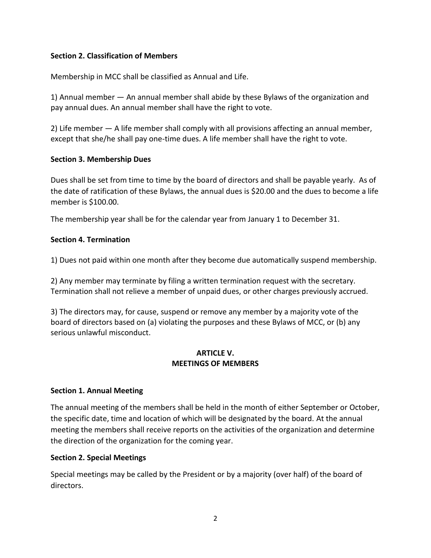# **Section 2. Classification of Members**

Membership in MCC shall be classified as Annual and Life.

1) Annual member — An annual member shall abide by these Bylaws of the organization and pay annual dues. An annual member shall have the right to vote.

2) Life member — A life member shall comply with all provisions affecting an annual member, except that she/he shall pay one-time dues. A life member shall have the right to vote.

### **Section 3. Membership Dues**

Dues shall be set from time to time by the board of directors and shall be payable yearly. As of the date of ratification of these Bylaws, the annual dues is \$20.00 and the dues to become a life member is \$100.00.

The membership year shall be for the calendar year from January 1 to December 31.

### **Section 4. Termination**

1) Dues not paid within one month after they become due automatically suspend membership.

2) Any member may terminate by filing a written termination request with the secretary. Termination shall not relieve a member of unpaid dues, or other charges previously accrued.

3) The directors may, for cause, suspend or remove any member by a majority vote of the board of directors based on (a) violating the purposes and these Bylaws of MCC, or (b) any serious unlawful misconduct.

### **ARTICLE V. MEETINGS OF MEMBERS**

### **Section 1. Annual Meeting**

The annual meeting of the members shall be held in the month of either September or October, the specific date, time and location of which will be designated by the board. At the annual meeting the members shall receive reports on the activities of the organization and determine the direction of the organization for the coming year.

### **Section 2. Special Meetings**

Special meetings may be called by the President or by a majority (over half) of the board of directors.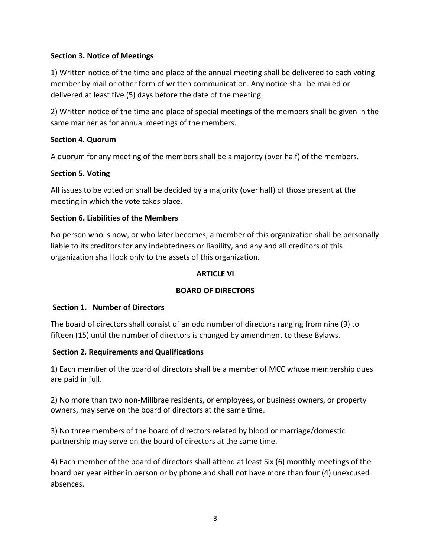# **Section 3. Notice of Meetings**

1) Written notice of the time and place of the annual meeting shall be delivered to each voting member by mail or other form of written communication. Any notice shall be mailed or delivered at least five (5) days before the date of the meeting.

2) Written notice of the time and place of special meetings of the members shall be given in the same manner as for annual meetings of the members.

### **Section 4. Quorum**

A quorum for any meeting of the members shall be a majority (over half) of the members.

# **Section 5. Voting**

All issues to be voted on shall be decided by a majority (over half) of those present at the meeting in which the vote takes place.

### **Section 6. Liabilities of the Members**

No person who is now, or who later becomes, a member of this organization shall be personally liable to its creditors for any indebtedness or liability, and any and all creditors of this organization shall look only to the assets of this organization.

### **ARTICLE VI**

# **BOARD OF DIRECTORS**

### **Section 1. Number of Directors**

The board of directors shall consist of an odd number of directors ranging from nine (9) to fifteen (15) until the number of directors is changed by amendment to these Bylaws.

### **Section 2. Requirements and Qualifications**

1) Each member of the board of directors shall be a member of MCC whose membership dues are paid in full.

2) No more than two non-Millbrae residents, or employees, or business owners, or property owners, may serve on the board of directors at the same time.

3) No three members of the board of directors related by blood or marriage/domestic partnership may serve on the board of directors at the same time.

4) Each member of the board of directors shall attend at least Six (6) monthly meetings of the board per year either in person or by phone and shall not have more than four (4) unexcused absences.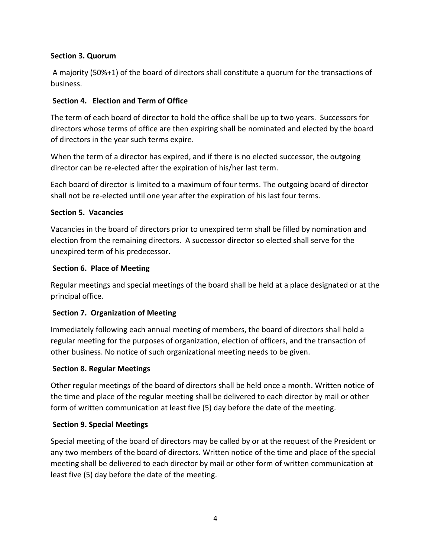# **Section 3. Quorum**

A majority (50%+1) of the board of directors shall constitute a quorum for the transactions of business.

# **Section 4. Election and Term of Office**

The term of each board of director to hold the office shall be up to two years. Successors for directors whose terms of office are then expiring shall be nominated and elected by the board of directors in the year such terms expire.

When the term of a director has expired, and if there is no elected successor, the outgoing director can be re-elected after the expiration of his/her last term.

Each board of director is limited to a maximum of four terms. The outgoing board of director shall not be re-elected until one year after the expiration of his last four terms.

### **Section 5. Vacancies**

Vacancies in the board of directors prior to unexpired term shall be filled by nomination and election from the remaining directors. A successor director so elected shall serve for the unexpired term of his predecessor.

### **Section 6. Place of Meeting**

Regular meetings and special meetings of the board shall be held at a place designated or at the principal office.

# **Section 7. Organization of Meeting**

Immediately following each annual meeting of members, the board of directors shall hold a regular meeting for the purposes of organization, election of officers, and the transaction of other business. No notice of such organizational meeting needs to be given.

### **Section 8. Regular Meetings**

Other regular meetings of the board of directors shall be held once a month. Written notice of the time and place of the regular meeting shall be delivered to each director by mail or other form of written communication at least five (5) day before the date of the meeting.

### **Section 9. Special Meetings**

Special meeting of the board of directors may be called by or at the request of the President or any two members of the board of directors. Written notice of the time and place of the special meeting shall be delivered to each director by mail or other form of written communication at least five (5) day before the date of the meeting.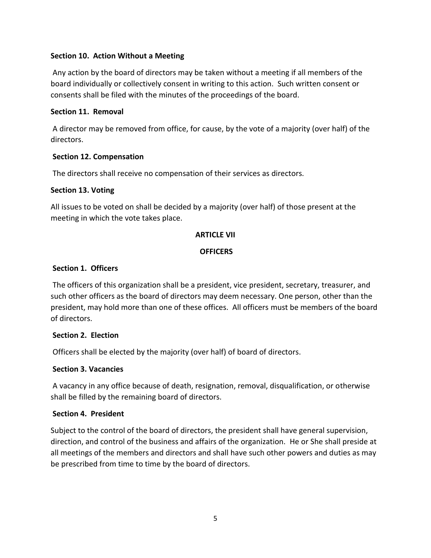### **Section 10. Action Without a Meeting**

Any action by the board of directors may be taken without a meeting if all members of the board individually or collectively consent in writing to this action. Such written consent or consents shall be filed with the minutes of the proceedings of the board.

### **Section 11. Removal**

A director may be removed from office, for cause, by the vote of a majority (over half) of the directors.

### **Section 12. Compensation**

The directors shall receive no compensation of their services as directors.

### **Section 13. Voting**

All issues to be voted on shall be decided by a majority (over half) of those present at the meeting in which the vote takes place.

### **ARTICLE VII**

### **OFFICERS**

### **Section 1. Officers**

The officers of this organization shall be a president, vice president, secretary, treasurer, and such other officers as the board of directors may deem necessary. One person, other than the president, may hold more than one of these offices. All officers must be members of the board of directors.

# **Section 2. Election**

Officers shall be elected by the majority (over half) of board of directors.

### **Section 3. Vacancies**

A vacancy in any office because of death, resignation, removal, disqualification, or otherwise shall be filled by the remaining board of directors.

### **Section 4. President**

Subject to the control of the board of directors, the president shall have general supervision, direction, and control of the business and affairs of the organization. He or She shall preside at all meetings of the members and directors and shall have such other powers and duties as may be prescribed from time to time by the board of directors.